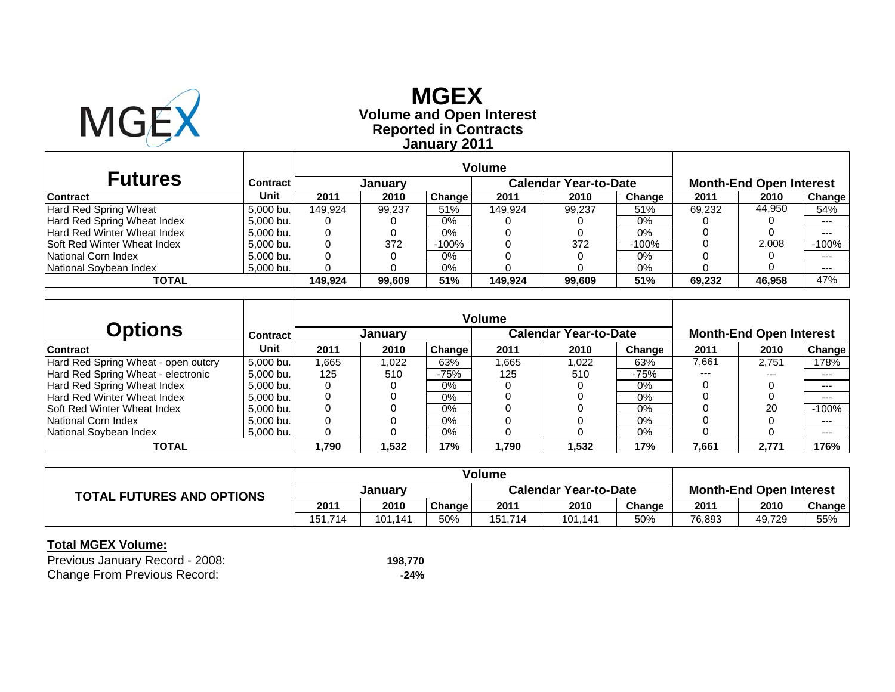

# **Reported in Contracts Volume and Open Interest MGEX January 2011**

| <b>Futures</b>                     | Contract  |         | Januarv |               |         | <b>Calendar Year-to-Date</b> |         |        | <b>Month-End Open Interest</b> |               |
|------------------------------------|-----------|---------|---------|---------------|---------|------------------------------|---------|--------|--------------------------------|---------------|
| <b>Contract</b>                    | Unit      | 2011    | 2010    | <b>Change</b> | 2011    | 2010                         | Change  | 2011   | 2010                           | <b>Change</b> |
| Hard Red Spring Wheat              | 5.000 bu. | 149.924 | 99.237  | 51%           | 149.924 | 99.237                       | 51%     | 69.232 | 44.950                         | 54%           |
| Hard Red Spring Wheat Index        | 5.000 bu. |         |         | $0\%$         |         |                              | 0%      |        |                                | $---$         |
| <b>Hard Red Winter Wheat Index</b> | 5.000 bu. |         |         | 0%            |         |                              | 0%      |        |                                | $---$         |
| <b>Soft Red Winter Wheat Index</b> | 5.000 bu. |         | 372     | $-100%$       |         | 372                          | $-100%$ |        | 2.008                          | $-100%$       |
| National Corn Index                | 5.000 bu. |         |         | 0%            |         |                              | 0%      |        |                                | $---$         |
| National Sovbean Index             | 5,000 bu. |         |         | 0%            |         |                              | 0%      |        |                                | $--$          |
| TOTAL                              |           | 149.924 | 99.609  | 51%           | 149.924 | 99.609                       | 51%     | 69.232 | 46,958                         | 47%           |

|                                     |           | <b>Volume</b> |         |        |       |                              |        |       |                                |         |
|-------------------------------------|-----------|---------------|---------|--------|-------|------------------------------|--------|-------|--------------------------------|---------|
| Options                             | Contract  |               | January |        |       | <b>Calendar Year-to-Date</b> |        |       | <b>Month-End Open Interest</b> |         |
| <b>Contract</b>                     | Unit      | 2011          | 2010    | Change | 2011  | 2010                         | Change | 2011  | 2010                           | Change  |
| Hard Red Spring Wheat - open outcry | 5.000 bu. | .665          | 1,022   | 63%    | .665  | 1.022                        | 63%    | 7,661 | 2.751                          | 178%    |
| Hard Red Spring Wheat - electronic  | 5.000 bu. | 125           | 510     | $-75%$ | 125   | 510                          | $-75%$ | ---   | $- - -$                        | $---$   |
| Hard Red Spring Wheat Index         | 5.000 bu. |               |         | $0\%$  |       |                              | 0%     |       |                                | $--$    |
| Hard Red Winter Wheat Index         | 5.000 bu. |               |         | 0%     |       |                              | 0%     |       |                                | ---     |
| <b>Soft Red Winter Wheat Index</b>  | 5.000 bu. |               |         | $0\%$  |       |                              | 0%     |       | 20                             | $-100%$ |
| National Corn Index                 | 5.000 bu. |               |         | $0\%$  |       |                              | 0%     |       |                                | $---$   |
| National Soybean Index              | 5,000 bu. |               |         | 0%     |       |                              | 0%     |       |                                | $--$    |
| <b>TOTAL</b>                        |           | .790،         | 532. ا  | 17%    | 1,790 | 1.532                        | 17%    | 7,661 | 2,771                          | 176%    |

|                                  | <b>Volume</b> |         |        |                              |         |        |                                |        |        |
|----------------------------------|---------------|---------|--------|------------------------------|---------|--------|--------------------------------|--------|--------|
| <b>TOTAL FUTURES AND OPTIONS</b> | January       |         |        | <b>Calendar Year-to-Date</b> |         |        | <b>Month-End Open Interest</b> |        |        |
|                                  | 2011          | 2010    | Change | 2011                         | 2010    | Change | 2011                           | 2010   | Change |
|                                  | 151.714       | 101.141 | 50%    | 151.714                      | 101,141 | 50%    | 76,893                         | 49,729 | 55%    |

| Previous January Record - 2008:     | 198,770 |
|-------------------------------------|---------|
| <b>Change From Previous Record:</b> | $-24%$  |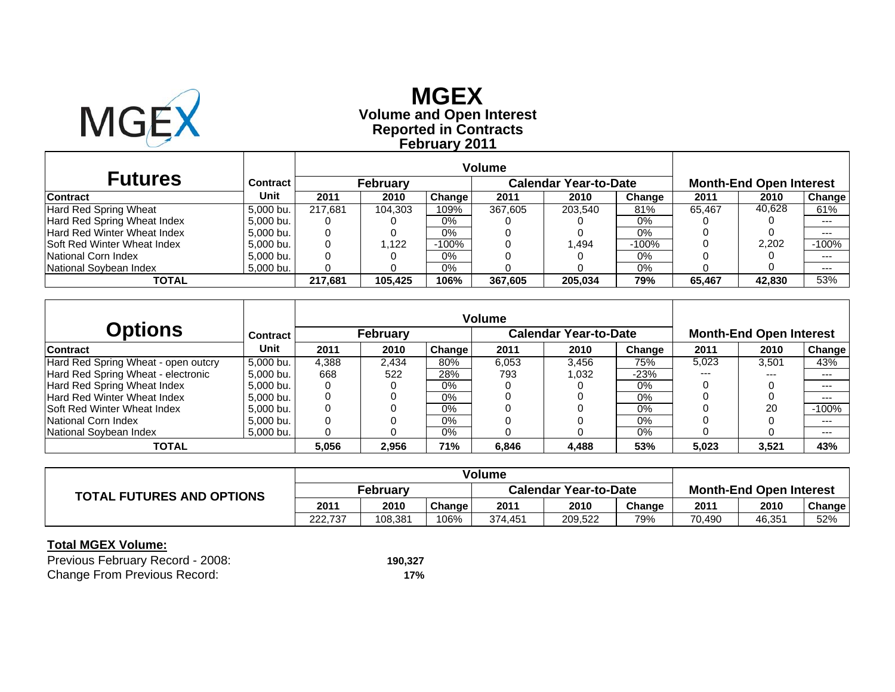

# **Reported in Contracts Volume and Open Interest MGEX February 2011**

| <b>Futures</b>                      | Contract  |         | Februarv |        |         | <b>Calendar Year-to-Date</b> |         |        | <b>Month-End Open Interest</b> |               |
|-------------------------------------|-----------|---------|----------|--------|---------|------------------------------|---------|--------|--------------------------------|---------------|
| <b>Contract</b>                     | Unit      | 2011    | 2010     | Change | 2011    | 2010                         | Change  | 2011   | 2010                           | <b>Change</b> |
| <b>Hard Red Spring Wheat</b>        | 5.000 bu. | 217.681 | 104.303  | 109%   | 367.605 | 203.540                      | 81%     | 65.467 | 40,628                         | 61%           |
| Hard Red Spring Wheat Index         | 5.000 bu. |         |          | $0\%$  |         |                              | 0%      |        |                                | $--$          |
| Hard Red Winter Wheat Index         | 5.000 bu. |         |          | 0%     |         |                              | 0%      |        |                                | $---$         |
| <b>ISoft Red Winter Wheat Index</b> | 5,000 bu. |         | .122     | -100%  |         | .494                         | $-100%$ |        | 2,202                          | $-100%$       |
| National Corn Index                 | 5.000 bu. |         |          | $0\%$  |         |                              | 0%      |        |                                | $---$         |
| National Sovbean Index              | 5,000 bu. |         |          | 0%     |         |                              | 0%      |        |                                | $--$          |
| TOTAL                               |           | 217.681 | 105.425  | 106%   | 367.605 | 205,034                      | 79%     | 65.467 | 42.830                         | 53%           |

|                                     |                 |       |                 |        | <b>Volume</b> |                              |        |       |                                |         |
|-------------------------------------|-----------------|-------|-----------------|--------|---------------|------------------------------|--------|-------|--------------------------------|---------|
| <b>Options</b>                      | <b>Contract</b> |       | <b>February</b> |        |               | <b>Calendar Year-to-Date</b> |        |       | <b>Month-End Open Interest</b> |         |
| <b>Contract</b>                     | Unit            | 2011  | 2010            | Change | 2011          | 2010                         | Change | 2011  | 2010                           | Change  |
| Hard Red Spring Wheat - open outcry | 5.000 bu.       | 4,388 | 2.434           | 80%    | 6,053         | 3.456                        | 75%    | 5.023 | 3,501                          | 43%     |
| Hard Red Spring Wheat - electronic  | 5.000 bu.       | 668   | 522             | 28%    | 793           | 1.032                        | $-23%$ | $---$ | $- - -$                        | ---     |
| Hard Red Spring Wheat Index         | 5.000 bu.       |       |                 | 0%     |               |                              | 0%     |       |                                | $--$    |
| Hard Red Winter Wheat Index         | 5.000 bu.       |       |                 | 0%     |               |                              | 0%     |       |                                | $--$    |
| <b>Soft Red Winter Wheat Index</b>  | 5.000 bu.       |       |                 | $0\%$  |               |                              | 0%     |       | 20                             | $-100%$ |
| National Corn Index                 | 5.000 bu.       | 0     |                 | $0\%$  |               |                              | 0%     |       |                                | $---$   |
| National Sovbean Index              | 5,000 bu.       |       |                 | $0\%$  |               |                              | 0%     |       |                                | $--$    |
| TOTAL                               |                 | 5,056 | 2,956           | 71%    | 6,846         | 4.488                        | 53%    | 5,023 | 3,521                          | 43%     |

| <b>TOTAL FUTURES AND OPTIONS</b> | <b>February</b> |         |        | <b>Calendar Year-to-Date</b> |         |        | <b>Month-End Open Interest</b> |        |        |
|----------------------------------|-----------------|---------|--------|------------------------------|---------|--------|--------------------------------|--------|--------|
|                                  | 2011            | 2010    | Change | 2011                         | 2010    | Change | 2011                           | 2010   | Change |
|                                  | 222.737         | 108.381 | 106%   | 374.451                      | 209,522 | 79%    | 70.490                         | 46,351 | 52%    |

| Previous February Record - 2008:    | 190.327 |
|-------------------------------------|---------|
| <b>Change From Previous Record:</b> | 17%     |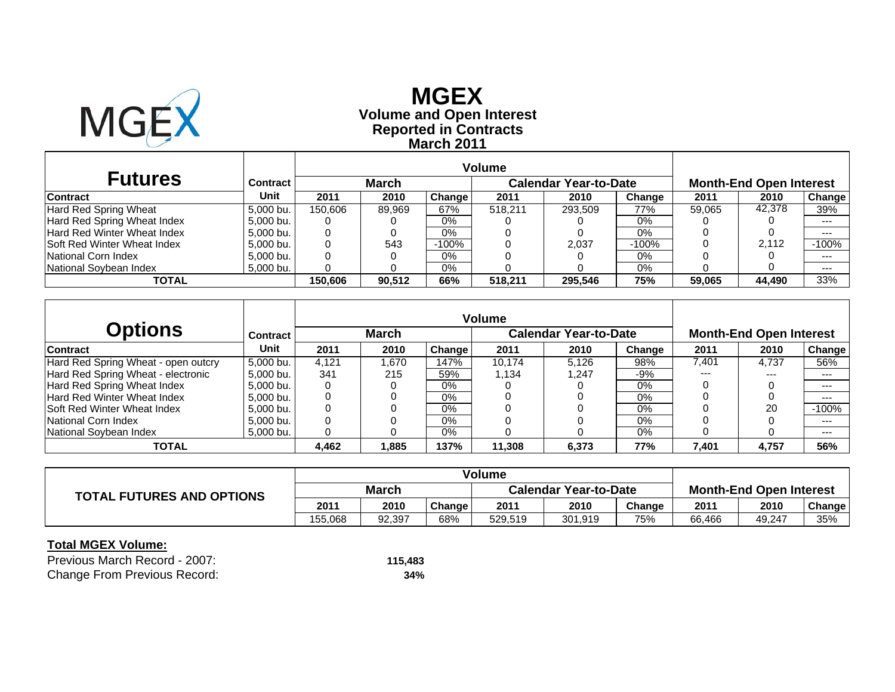

## **Reported in Contracts Volume and Open Interest MGEX March 2011**

|                                    |           |         |              |         | Volume  |                              |         |        |                                |         |
|------------------------------------|-----------|---------|--------------|---------|---------|------------------------------|---------|--------|--------------------------------|---------|
| <b>Futures</b>                     | Contract  |         | <b>March</b> |         |         | <b>Calendar Year-to-Date</b> |         |        | <b>Month-End Open Interest</b> |         |
| <b>Contract</b>                    | Unit      | 2011    | 2010         | Change  | 2011    | 2010                         | Change  | 2011   | 2010                           | Change  |
| Hard Red Spring Wheat              | 5.000 bu. | 150.606 | 89.969       | 67%     | 518.211 | 293.509                      | 77%     | 59.065 | 42.378                         | 39%     |
| Hard Red Spring Wheat Index        | 5.000 bu. | O       |              | 0%      |         |                              | 0%      |        |                                | $---$   |
| <b>Hard Red Winter Wheat Index</b> | 5.000 bu. | 0       |              | $0\%$   |         |                              | $0\%$   |        |                                | ---     |
| <b>Soft Red Winter Wheat Index</b> | 5.000 bu. |         | 543          | $-100%$ |         | 2.037                        | $-100%$ |        | 2.112                          | $-100%$ |
| National Corn Index                | 5.000 bu. |         |              | 0%      |         |                              | $0\%$   |        |                                | $---$   |
| National Soybean Index             | 5.000 bu. |         |              | $0\%$   |         |                              | 0%      |        |                                | $---$   |
| TOTAL                              |           | 150.606 | 90.512       | 66%     | 518.211 | 295.546                      | 75%     | 59.065 | 44,490                         | 33%     |

|                                     |                 |       |              |        | <b>Volume</b> |                              |        |       |                                |         |
|-------------------------------------|-----------------|-------|--------------|--------|---------------|------------------------------|--------|-------|--------------------------------|---------|
| <b>Options</b>                      | <b>Contract</b> |       | <b>March</b> |        |               | <b>Calendar Year-to-Date</b> |        |       | <b>Month-End Open Interest</b> |         |
| <b>Contract</b>                     | Unit            | 2011  | 2010         | Change | 2011          | 2010                         | Change | 2011  | 2010                           | Change  |
| Hard Red Spring Wheat - open outcry | 5.000 bu.       | 4.121 | 1.670        | 147%   | 10.174        | 5.126                        | 98%    | 7.401 | 4.737                          | 56%     |
| Hard Red Spring Wheat - electronic  | 5.000 bu.       | 341   | 215          | 59%    | 1.134         | 1.247                        | $-9\%$ | $---$ | $- - -$                        | ---     |
| Hard Red Spring Wheat Index         | 5.000 bu.       |       |              | $0\%$  |               |                              | $0\%$  |       |                                | $--$    |
| Hard Red Winter Wheat Index         | 5.000 bu.       |       |              | 0%     |               |                              | 0%     |       |                                | $--$    |
| <b>Soft Red Winter Wheat Index</b>  | 5.000 bu.       |       |              | $0\%$  |               |                              | 0%     |       | 20                             | $-100%$ |
| National Corn Index                 | 5.000 bu.       | 0     |              | $0\%$  |               |                              | $0\%$  |       |                                | $---$   |
| National Sovbean Index              | 5,000 bu.       |       |              | $0\%$  |               |                              | $0\%$  |       |                                | $--$    |
| TOTAL                               |                 | 4,462 | .885         | 137%   | 11,308        | 6,373                        | 77%    | 7,401 | 4,757                          | 56%     |

| <b>TOTAL FUTURES AND OPTIONS</b> | <b>March</b> |        |        | <b>Calendar Year-to-Date</b> |         |        | <b>Month-End Open Interest</b> |        |        |
|----------------------------------|--------------|--------|--------|------------------------------|---------|--------|--------------------------------|--------|--------|
|                                  | 2011         | 2010   | Change | 2011                         | 2010    | Change | 2011                           | 2010   | Change |
|                                  | 155.068      | 92.397 | 68%    | 529.519                      | 301,919 | 75%    | 66,466                         | 49,247 | 35%    |

| Previous March Record - 2007:       | 115.483 |
|-------------------------------------|---------|
| <b>Change From Previous Record:</b> | 34%     |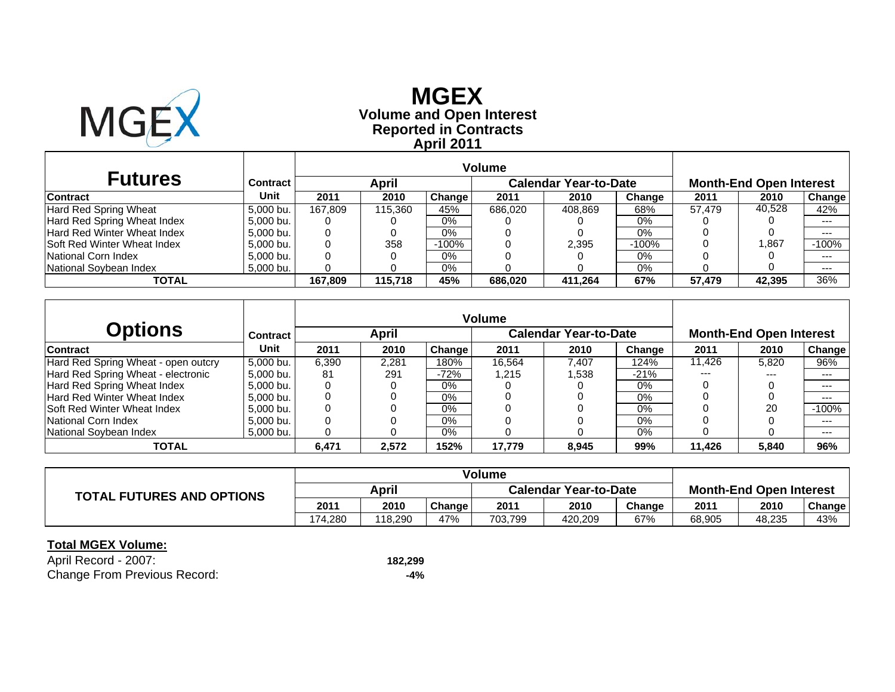

# **Reported in Contracts Volume and Open Interest MGEXApril 2011**

|                                     |           |         | <b>Volume</b> |        |         |                       |         |        |                                |         |
|-------------------------------------|-----------|---------|---------------|--------|---------|-----------------------|---------|--------|--------------------------------|---------|
| <b>Futures</b>                      | Contract  |         | April         |        |         | Calendar Year-to-Date |         |        | <b>Month-End Open Interest</b> |         |
| <b>Contract</b>                     | Unit      | 2011    | 2010          | Change | 2011    | 2010                  | Change  | 2011   | 2010                           | Change  |
| Hard Red Spring Wheat               | 5.000 bu. | 167.809 | 115.360       | 45%    | 686,020 | 408,869               | 68%     | 57.479 | 40.528                         | 42%     |
| Hard Red Spring Wheat Index         | 5.000 bu. |         |               | $0\%$  |         |                       | 0%      |        |                                | $---$   |
| Hard Red Winter Wheat Index         | 5.000 bu. | 0       |               | $0\%$  |         |                       | 0%      |        |                                | $---$   |
| <b>ISoft Red Winter Wheat Index</b> | 5,000 bu. |         | 358           | -100%  |         | 2,395                 | $-100%$ |        | 1.867                          | $-100%$ |
| National Corn Index                 | 5.000 bu. |         |               | $0\%$  |         |                       | 0%      |        |                                | $---$   |
| National Soybean Index              | 5,000 bu. |         |               | $0\%$  |         |                       | 0%      |        |                                | $---$   |
| TOTAL                               |           | 167.809 | 115,718       | 45%    | 686,020 | 411.264               | 67%     | 57,479 | 42,395                         | 36%     |

|                                     |                 | <b>Volume</b> |       |        |        |                              |        |        |                                |         |
|-------------------------------------|-----------------|---------------|-------|--------|--------|------------------------------|--------|--------|--------------------------------|---------|
| Options                             | <b>Contract</b> |               | April |        |        | <b>Calendar Year-to-Date</b> |        |        | <b>Month-End Open Interest</b> |         |
| <b>Contract</b>                     | Unit            | 2011          | 2010  | Change | 2011   | 2010                         | Change | 2011   | 2010                           | Change  |
| Hard Red Spring Wheat - open outcry | 5.000 bu.       | 6,390         | 2.281 | 180%   | 16.564 | 7.407                        | 124%   | 11,426 | 5,820                          | 96%     |
| Hard Red Spring Wheat - electronic  | 5.000 bu.       | 81            | 291   | $-72%$ | .215   | .538                         | $-21%$ | $---$  | $- - -$                        | ---     |
| Hard Red Spring Wheat Index         | 5.000 bu.       |               |       | $0\%$  |        |                              | 0%     |        |                                | $---$   |
| Hard Red Winter Wheat Index         | 5.000 bu.       |               |       | 0%     |        |                              | 0%     |        |                                | $--$    |
| <b>Soft Red Winter Wheat Index</b>  | 5.000 bu.       |               |       | $0\%$  |        |                              | 0%     |        | 20                             | $-100%$ |
| National Corn Index                 | 5.000 bu.       |               |       | $0\%$  |        |                              | $0\%$  |        |                                | $---$   |
| National Soybean Index              | 5,000 bu.       |               |       | 0%     |        |                              | 0%     |        |                                | $--$    |
| TOTAL                               |                 | 6,471         | 2.572 | 152%   | 17,779 | 8.945                        | 99%    | 11.426 | 5,840                          | 96%     |

|                                  | <b>Volume</b> |         |        |                              |         |        |                                |        |        |
|----------------------------------|---------------|---------|--------|------------------------------|---------|--------|--------------------------------|--------|--------|
| <b>TOTAL FUTURES AND OPTIONS</b> | April         |         |        | <b>Calendar Year-to-Date</b> |         |        | <b>Month-End Open Interest</b> |        |        |
|                                  | 2011          | 2010    | Change | 2011                         | 2010    | Change | 2011                           | 2010   | Change |
|                                  | 174.280       | 118.290 | 47%    | 703,799                      | 420.209 | 67%    | 68,905                         | 48,235 | 43%    |

| April Record - 2007:                | 182,299 |
|-------------------------------------|---------|
| <b>Change From Previous Record:</b> | -4%     |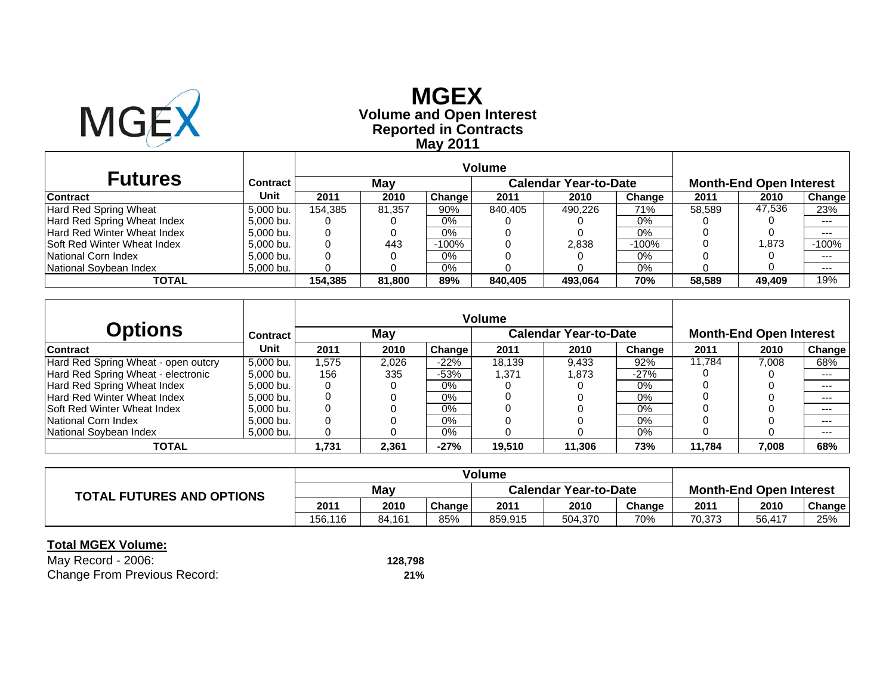

# **Reported in Contracts Volume and Open Interest MGEX May 2011**

|                                    |                 | Volume  |        |         |         |                              |         |        |                                |         |
|------------------------------------|-----------------|---------|--------|---------|---------|------------------------------|---------|--------|--------------------------------|---------|
| <b>Futures</b>                     | <b>Contract</b> |         | May    |         |         | <b>Calendar Year-to-Date</b> |         |        | <b>Month-End Open Interest</b> |         |
| <b>Contract</b>                    | Unit            | 2011    | 2010   | Change  | 2011    | 2010                         | Change  | 2011   | 2010                           | Change  |
| Hard Red Spring Wheat              | 5.000 bu.       | 154.385 | 81.357 | 90%     | 840.405 | 490.226                      | 71%     | 58.589 | 47.536                         | 23%     |
| Hard Red Spring Wheat Index        | 5.000 bu.       |         |        | $0\%$   |         |                              | $0\%$   |        |                                |         |
| Hard Red Winter Wheat Index        | 5,000 bu.       |         |        | 0%      |         |                              | 0%      |        |                                | $- - -$ |
| <b>Soft Red Winter Wheat Index</b> | 5.000 bu.       |         | 443    | $-100%$ |         | 2,838                        | $-100%$ |        | .873                           | $-100%$ |
| National Corn Index                | 5.000 bu.       |         |        | 0%      |         |                              | 0%      |        |                                | $- - -$ |
| National Soybean Index             | 5,000 bu.       |         |        | 0%      |         |                              | 0%      |        |                                | $--$    |
| TOTAL                              |                 | 154.385 | 81.800 | 89%     | 840,405 | 493.064                      | 70%     | 58.589 | 49,409                         | 19%     |

|                                     |                 |       | <b>Volume</b> |        |        |                              |        |        |                                |        |
|-------------------------------------|-----------------|-------|---------------|--------|--------|------------------------------|--------|--------|--------------------------------|--------|
| Options                             | <b>Contract</b> |       | May           |        |        | <b>Calendar Year-to-Date</b> |        |        | <b>Month-End Open Interest</b> |        |
| <b>Contract</b>                     | Unit            | 2011  | 2010          | Change | 2011   | 2010                         | Change | 2011   | 2010                           | Change |
| Hard Red Spring Wheat - open outcry | 5.000 bu.       | .575  | 2.026         | $-22%$ | 18.139 | 9.433                        | 92%    | 11.784 | 7,008                          | 68%    |
| Hard Red Spring Wheat - electronic  | 5.000 bu.       | 156   | 335           | -53%   | 371.ا  | 1.873                        | $-27%$ |        |                                | $---$  |
| Hard Red Spring Wheat Index         | 5.000 bu.       |       |               | $0\%$  |        |                              | 0%     |        |                                | $--$   |
| Hard Red Winter Wheat Index         | 5.000 bu.       |       |               | $0\%$  |        |                              | 0%     |        |                                | $---$  |
| <b>Soft Red Winter Wheat Index</b>  | 5.000 bu.       |       |               | $0\%$  |        |                              | 0%     |        |                                | $--$   |
| National Corn Index                 | 5.000 bu.       |       |               | $0\%$  |        |                              | $0\%$  |        |                                | $---$  |
| National Soybean Index              | 5,000 bu.       |       |               | $0\%$  |        |                              | 0%     |        |                                | $--$   |
| TOTAL                               |                 | 1.731 | 2,361         | $-27%$ | 19,510 | 11.306                       | 73%    | 11.784 | 7,008                          | 68%    |

|                                  | <b>Volume</b> |        |        |                              |         |        |                                |        |        |
|----------------------------------|---------------|--------|--------|------------------------------|---------|--------|--------------------------------|--------|--------|
| <b>TOTAL FUTURES AND OPTIONS</b> | May           |        |        | <b>Calendar Year-to-Date</b> |         |        | <b>Month-End Open Interest</b> |        |        |
|                                  | 2011          | 2010   | Change | 2011                         | 2010    | Change | 2011                           | 2010   | Change |
|                                  | 156,116       | 84.161 | 85%    | 859.915                      | 504.370 | 70%    | 70.373                         | 56,417 | 25%    |

| May Record - 2006:                  | 128,798 |
|-------------------------------------|---------|
| <b>Change From Previous Record:</b> | 21%     |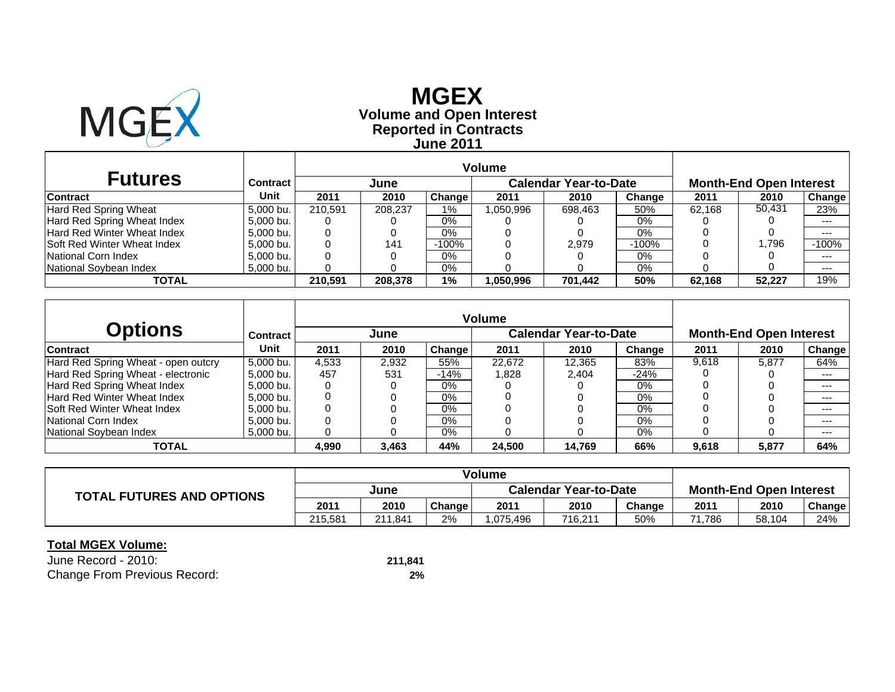

## **Reported in Contracts Volume and Open Interest MGEX June 2011**

| <b>Futures</b>              | Contract  |         | June    |         |           | <b>Calendar Year-to-Date</b> |         |        | <b>Month-End Open Interest</b> |               |
|-----------------------------|-----------|---------|---------|---------|-----------|------------------------------|---------|--------|--------------------------------|---------------|
| <b>Contract</b>             | Unit      | 2011    | 2010    | Change  | 2011      | 2010                         | Change  | 2011   | 2010                           | <b>Change</b> |
| Hard Red Spring Wheat       | 5.000 bu. | 210.591 | 208.237 | 1%      | 1.050.996 | 698.463                      | 50%     | 62.168 | 50,431                         | 23%           |
| Hard Red Spring Wheat Index | 5.000 bu. |         |         | $0\%$   |           |                              | 0%      |        |                                | $--$          |
| Hard Red Winter Wheat Index | 5.000 bu. |         |         | 0%      |           |                              | $0\%$   |        |                                | $- - -$       |
| Soft Red Winter Wheat Index | 5,000 bu. |         | 141     | $-100%$ |           | 2.979                        | $-100%$ |        | 1.796                          | $-100%$       |
| National Corn Index         | 5.000 bu. |         |         | 0%      |           |                              | 0%      |        |                                | $--$          |
| National Soybean Index      | 5,000 bu. |         |         | 0%      |           |                              | 0%      |        |                                | $--$          |
| TOTAL                       |           | 210.591 | 208,378 | 1%      | 1,050.996 | 701,442                      | 50%     | 62.168 | 52.227                         | 19%           |

|                                     |                 |       | <b>Volume</b> |        |        |                              |        |       |                                |        |
|-------------------------------------|-----------------|-------|---------------|--------|--------|------------------------------|--------|-------|--------------------------------|--------|
| Options                             | <b>Contract</b> |       | June          |        |        | <b>Calendar Year-to-Date</b> |        |       | <b>Month-End Open Interest</b> |        |
| <b>Contract</b>                     | Unit            | 2011  | 2010          | Change | 2011   | 2010                         | Change | 2011  | 2010                           | Change |
| Hard Red Spring Wheat - open outcry | 5.000 bu.       | 4.533 | 2.932         | 55%    | 22.672 | 12,365                       | 83%    | 9,618 | 5.877                          | 64%    |
| Hard Red Spring Wheat - electronic  | 5.000 bu.       | 457   | 531           | $-14%$ | .828   | 2.404                        | $-24%$ |       |                                | $---$  |
| Hard Red Spring Wheat Index         | 5.000 bu.       |       |               | $0\%$  |        |                              | 0%     |       |                                | $--$   |
| Hard Red Winter Wheat Index         | 5.000 bu.       |       |               | 0%     |        |                              | 0%     |       |                                | ---    |
| <b>Soft Red Winter Wheat Index</b>  | 5.000 bu.       |       |               | $0\%$  |        |                              | 0%     |       |                                | $---$  |
| National Corn Index                 | 5.000 bu.       |       |               | $0\%$  |        |                              | 0%     |       |                                | $--$   |
| National Soybean Index              | 5,000 bu.       |       |               | 0%     |        |                              | 0%     |       |                                | $--$   |
| <b>TOTAL</b>                        |                 | 4,990 | 3,463         | 44%    | 24,500 | 14.769                       | 66%    | 9,618 | 5,877                          | 64%    |

|                                  | <b>Volume</b> |         |        |                              |         |        |                                |        |        |
|----------------------------------|---------------|---------|--------|------------------------------|---------|--------|--------------------------------|--------|--------|
| <b>TOTAL FUTURES AND OPTIONS</b> | June          |         |        | <b>Calendar Year-to-Date</b> |         |        | <b>Month-End Open Interest</b> |        |        |
|                                  | 2011          | 2010    | Change | 2011                         | 2010    | Change | 2011                           | 2010   | Change |
|                                  | 215.581       | 211.841 | 2%     | .075.496                     | 716,211 | 50%    | 71.786                         | 58,104 | 24%    |

| June Record - 2010:                 | 211,841 |
|-------------------------------------|---------|
| <b>Change From Previous Record:</b> | 2%      |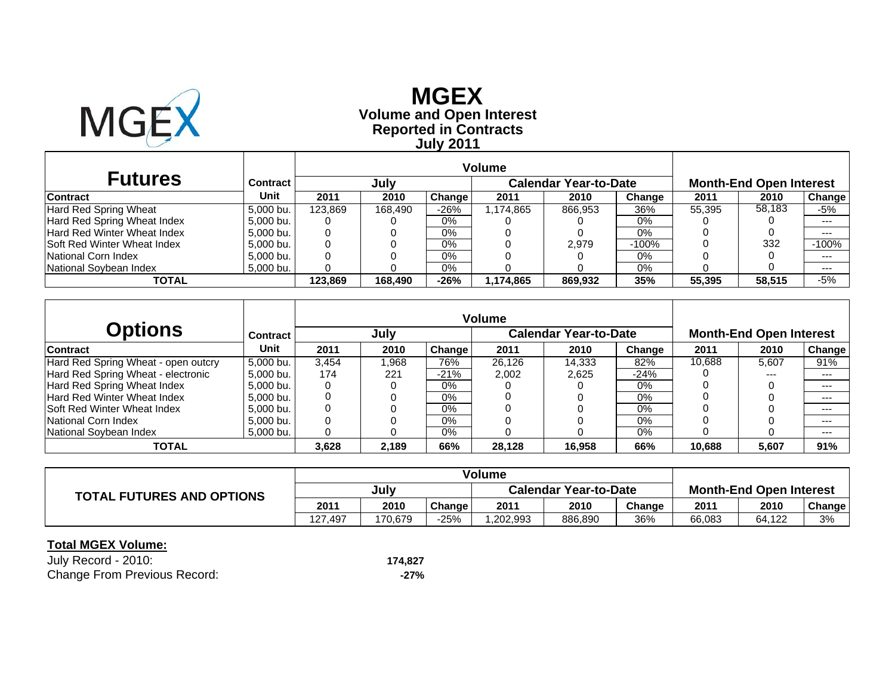

# **Reported in Contracts Volume and Open Interest MGEX July 2011**

| <b>Futures</b>                      | Contract  |         | July    |               |           | <b>Calendar Year-to-Date</b> |         |        | <b>Month-End Open Interest</b> |         |
|-------------------------------------|-----------|---------|---------|---------------|-----------|------------------------------|---------|--------|--------------------------------|---------|
| <b>Contract</b>                     | Unit      | 2011    | 2010    | <b>Change</b> | 2011      | 2010                         | Change  | 2011   | 2010                           | Change  |
| <b>Hard Red Spring Wheat</b>        | 5.000 bu. | 123.869 | 168.490 | $-26%$        | 1.174.865 | 866,953                      | 36%     | 55.395 | 58,183                         | -5%     |
| Hard Red Spring Wheat Index         | 5.000 bu. |         |         | $0\%$         |           |                              | 0%      |        |                                | $---$   |
| Hard Red Winter Wheat Index         | 5.000 bu. |         |         | 0%            |           |                              | 0%      |        |                                | $---$   |
| <b>ISoft Red Winter Wheat Index</b> | 5.000 bu. |         |         | 0%            |           | 2.979                        | $-100%$ |        | 332                            | $-100%$ |
| National Corn Index                 | 5.000 bu. |         |         | 0%            |           |                              | 0%      |        |                                | $--$    |
| National Soybean Index              | 5,000 bu. |         |         | 0%            |           |                              | 0%      |        |                                | $--$    |
| TOTAL                               |           | 123.869 | 168.490 | $-26%$        | 1,174,865 | 869,932                      | 35%     | 55.395 | 58,515                         | $-5%$   |

| <b>Options</b>                      | <b>Contract</b> |       | July  |        | <b>Volume</b> | <b>Calendar Year-to-Date</b> |        | <b>Month-End Open Interest</b> |       |         |  |
|-------------------------------------|-----------------|-------|-------|--------|---------------|------------------------------|--------|--------------------------------|-------|---------|--|
| <b>Contract</b>                     | Unit            | 2011  | 2010  | Change | 2011          | 2010                         | Change | 2011                           | 2010  | Change  |  |
| Hard Red Spring Wheat - open outcry | 5.000 bu.       | 3.454 | .968  | 76%    | 26.126        | 14.333                       | 82%    | 10,688                         | 5.607 | 91%     |  |
| Hard Red Spring Wheat - electronic  | 5.000 bu.       | 174   | 221   | $-21%$ | 2.002         | 2.625                        | $-24%$ |                                |       | ---     |  |
| Hard Red Spring Wheat Index         | 5.000 bu.       |       |       | 0%     |               |                              | 0%     |                                |       | $---$   |  |
| Hard Red Winter Wheat Index         | 5.000 bu.       |       |       | $0\%$  |               |                              | 0%     |                                |       | $- - -$ |  |
| <b>Soft Red Winter Wheat Index</b>  | 5.000 bu.       |       |       | $0\%$  |               |                              | 0%     |                                |       | $---$   |  |
| National Corn Index                 | 5.000 bu.       |       |       | $0\%$  |               |                              | 0%     |                                |       | $-- -$  |  |
| National Soybean Index              | 5.000 bu.       |       |       | $0\%$  |               |                              | 0%     |                                |       | $---$   |  |
| <b>TOTAL</b>                        |                 | 3,628 | 2.189 | 66%    | 28,128        | 16.958                       | 66%    | 10.688                         | 5,607 | 91%     |  |

|                                  | <b>Volume</b> |         |        |                              |         |        |                                |        |        |
|----------------------------------|---------------|---------|--------|------------------------------|---------|--------|--------------------------------|--------|--------|
| <b>TOTAL FUTURES AND OPTIONS</b> | July          |         |        | <b>Calendar Year-to-Date</b> |         |        | <b>Month-End Open Interest</b> |        |        |
|                                  | 2011          | 2010    | Change | 2011                         | 2010    | Change | 2011                           | 2010   | Change |
|                                  | 127.497       | 170.679 | -25%   | .202.993                     | 886,890 | 36%    | 66,083                         | 64,122 | 3%     |

| July Record - 2010:                 | 174.827 |
|-------------------------------------|---------|
| <b>Change From Previous Record:</b> | -27%    |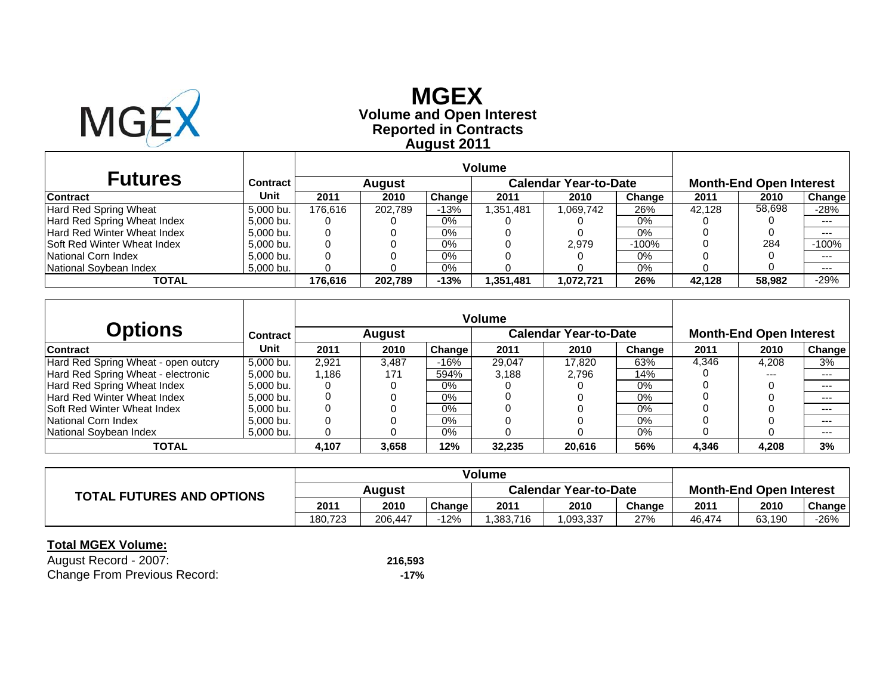

# **Reported in Contracts Volume and Open Interest MGEXAugust 2011**

| <b>Futures</b>               | Contract  |         | August  |        |            | <b>Calendar Year-to-Date</b> |         |        | <b>Month-End Open Interest</b> |         |
|------------------------------|-----------|---------|---------|--------|------------|------------------------------|---------|--------|--------------------------------|---------|
| <b>Contract</b>              | Unit      | 2011    | 2010    | Change | 2011       | 2010                         | Change  | 2011   | 2010                           | Change  |
| <b>Hard Red Spring Wheat</b> | 5.000 bu. | 176.616 | 202.789 | $-13%$ | 351,481. ا | .069,742                     | 26%     | 42.128 | 58,698                         | $-28%$  |
| Hard Red Spring Wheat Index  | 5.000 bu. |         |         | $0\%$  |            |                              | 0%      |        |                                | $--$    |
| Hard Red Winter Wheat Index  | 5,000 bu. |         |         | 0%     |            |                              | 0%      |        |                                | $- - -$ |
| Soft Red Winter Wheat Index  | 5.000 bu. |         |         | 0%     |            | 2.979                        | $-100%$ |        | 284                            | $-100%$ |
| National Corn Index          | 5.000 bu. |         |         | 0%     |            |                              | 0%      |        |                                | $- - -$ |
| National Soybean Index       | 5,000 bu. |         |         | 0%     |            |                              | 0%      |        |                                | $--$    |
| <b>TOTAL</b>                 |           | 176.616 | 202.789 | $-13%$ | 1,351,481  | 1,072,721                    | 26%     | 42.128 | 58.982                         | $-29%$  |

|                                     |           |       |        |        | <b>Volume</b> |                              |        |       |                                |        |
|-------------------------------------|-----------|-------|--------|--------|---------------|------------------------------|--------|-------|--------------------------------|--------|
| <b>Options</b>                      | Contract  |       | August |        |               | <b>Calendar Year-to-Date</b> |        |       | <b>Month-End Open Interest</b> |        |
| <b>Contract</b>                     | Unit      | 2011  | 2010   | Change | 2011          | 2010                         | Change | 2011  | 2010                           | Change |
| Hard Red Spring Wheat - open outcry | 5,000 bu. | 2.921 | 3,487  | $-16%$ | 29,047        | 17.820                       | 63%    | 4,346 | 4.208                          | 3%     |
| Hard Red Spring Wheat - electronic  | 5.000 bu. | 1.186 | 171    | 594%   | 3.188         | 2.796                        | 14%    |       | $---$                          | ---    |
| Hard Red Spring Wheat Index         | 5,000 bu. | O     |        | 0%     |               |                              | $0\%$  |       |                                | $-- -$ |
| Hard Red Winter Wheat Index         | 5.000 bu. |       |        | $0\%$  |               |                              | $0\%$  |       |                                | $--$   |
| <b>ISoft Red Winter Wheat Index</b> | 5,000 bu. | 0     |        | 0%     |               |                              | 0%     |       |                                | $---$  |
| National Corn Index                 | 5.000 bu. |       |        | $0\%$  |               |                              | 0%     |       |                                | $---$  |
| National Sovbean Index              | 5,000 bu. |       |        | 0%     |               |                              | 0%     |       |                                | $--$   |
| TOTAL                               |           | 4.107 | 3.658  | 12%    | 32,235        | 20.616                       | 56%    | 4,346 | 4,208                          | 3%     |

| <b>TOTAL FUTURES AND OPTIONS</b> | August  |         |        | <b>Calendar Year-to-Date</b> |          |        | <b>Month-End Open Interest</b> |        |        |
|----------------------------------|---------|---------|--------|------------------------------|----------|--------|--------------------------------|--------|--------|
|                                  | 2011    | 2010    | Change | 2011                         | 2010     | Change | 2011                           | 2010   | Change |
|                                  | 180.723 | 206.447 | 12%    | .383.716                     | .093,337 | 27%    | 46,474                         | 63,190 | $-26%$ |

| August Record - 2007:               | 216,593 |
|-------------------------------------|---------|
| <b>Change From Previous Record:</b> | -17%    |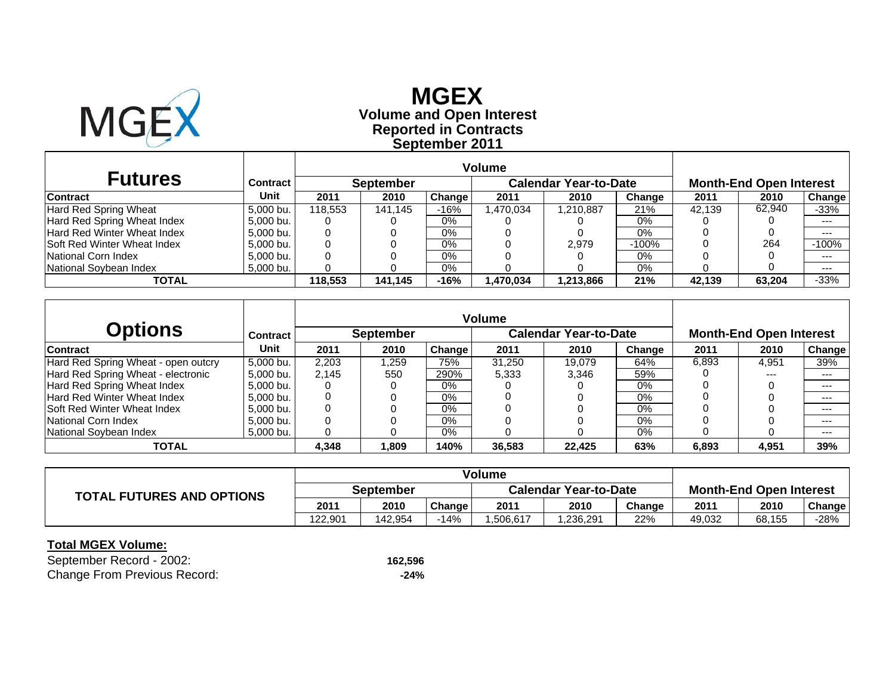

# **Reported in Contracts Volume and Open Interest MGEXSeptember 2011**

| <b>Futures</b>                     | Contract  |         | <b>September</b> |        |           | <b>Calendar Year-to-Date</b> |         |        | <b>Month-End Open Interest</b> |               |
|------------------------------------|-----------|---------|------------------|--------|-----------|------------------------------|---------|--------|--------------------------------|---------------|
| <b>Contract</b>                    | Unit      | 2011    | 2010             | Change | 2011      | 2010                         | Change  | 2011   | 2010                           | <b>Change</b> |
| Hard Red Spring Wheat              | 5.000 bu. | 118.553 | 141.145          | $-16%$ | 1.470.034 | 1,210,887                    | 21%     | 42.139 | 62.940                         | $-33%$        |
| Hard Red Spring Wheat Index        | 5.000 bu. |         |                  | 0%     |           |                              | $0\%$   |        |                                | $---$         |
| Hard Red Winter Wheat Index        | 5.000 bu. |         |                  | 0%     |           |                              | $0\%$   |        |                                | $---$         |
| <b>Soft Red Winter Wheat Index</b> | 5.000 bu. |         |                  | $0\%$  |           | 2.979                        | $-100%$ |        | 264                            | $-100%$       |
| National Corn Index                | 5.000 bu. |         |                  | 0%     |           |                              | 0%      |        |                                | $---$         |
| National Soybean Index             | 5.000 bu. |         |                  | 0%     |           |                              | 0%      |        |                                | $---$         |
| TOTAL                              |           | 118.553 | 141.145          | $-16%$ | 1,470,034 | 1,213,866                    | 21%     | 42.139 | 63,204                         | $-33%$        |

|                                     |           |       |                  |        | <b>Volume</b> |                              |        |       |                                |         |
|-------------------------------------|-----------|-------|------------------|--------|---------------|------------------------------|--------|-------|--------------------------------|---------|
| <b>Options</b>                      | Contract  |       | <b>September</b> |        |               | <b>Calendar Year-to-Date</b> |        |       | <b>Month-End Open Interest</b> |         |
| <b>Contract</b>                     | Unit      | 2011  | 2010             | Change | 2011          | 2010                         | Change | 2011  | 2010                           | Change  |
| Hard Red Spring Wheat - open outcry | 5.000 bu. | 2.203 | .259             | 75%    | 31.250        | 19.079                       | 64%    | 6,893 | 4.951                          | 39%     |
| Hard Red Spring Wheat - electronic  | 5.000 bu. | 2.145 | 550              | 290%   | 5.333         | 3.346                        | 59%    |       | ---                            | $-- -$  |
| Hard Red Spring Wheat Index         | 5,000 bu. |       |                  | $0\%$  |               |                              | $0\%$  |       |                                | $---$   |
| Hard Red Winter Wheat Index         | 5,000 bu. |       |                  | 0%     |               |                              | $0\%$  |       |                                | $- - -$ |
| <b>Soft Red Winter Wheat Index</b>  | 5.000 bu. |       |                  | 0%     |               |                              | $0\%$  |       |                                | $--$    |
| National Corn Index                 | 5.000 bu. |       |                  | $0\%$  |               |                              | $0\%$  |       |                                | $-- -$  |
| National Sovbean Index              | 5,000 bu. |       |                  | 0%     |               |                              | 0%     |       |                                | $--$    |
| TOTAL                               |           | 4,348 | .809             | 140%   | 36,583        | 22.425                       | 63%    | 6,893 | 4,951                          | 39%     |

|                                  | Volume    |         |        |                              |          |        |                                |        |        |
|----------------------------------|-----------|---------|--------|------------------------------|----------|--------|--------------------------------|--------|--------|
| <b>TOTAL FUTURES AND OPTIONS</b> | September |         |        | <b>Calendar Year-to-Date</b> |          |        | <b>Month-End Open Interest</b> |        |        |
|                                  | 2011      | 2010    | Change | 2011                         | 2010     | Change | 2011                           | 2010   | Change |
|                                  | 122.901   | 142.954 | 14%    | .506.617                     | .236.291 | 22%    | 49.032                         | 68,155 | $-28%$ |

| September Record - 2002:            | 162,596 |
|-------------------------------------|---------|
| <b>Change From Previous Record:</b> | $-24%$  |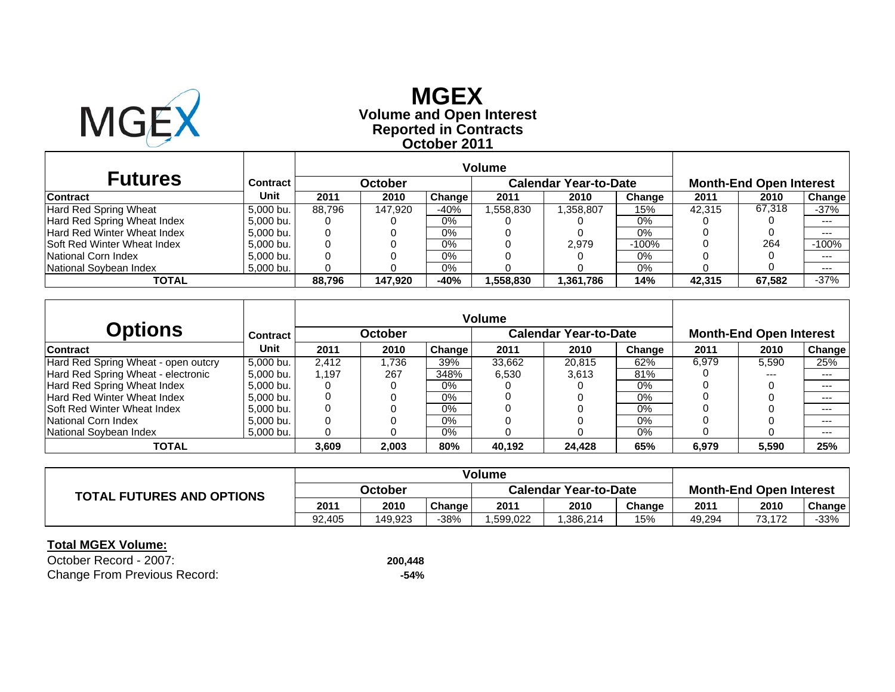

## **Reported in Contracts Volume and Open Interest MGEXOctober 2011**

| <b>Futures</b>                     | Contract  |        | October |               |          | <b>Calendar Year-to-Date</b> |         |        | <b>Month-End Open Interest</b> |         |
|------------------------------------|-----------|--------|---------|---------------|----------|------------------------------|---------|--------|--------------------------------|---------|
| <b>Contract</b>                    | Unit      | 2011   | 2010    | <b>Change</b> | 2011     | 2010                         | Change  | 2011   | 2010                           | Change  |
| Hard Red Spring Wheat              | 5.000 bu. | 88.796 | 147.920 | $-40%$        | .558.830 | .358,807                     | 15%     | 42.315 | 67,318                         | $-37%$  |
| Hard Red Spring Wheat Index        | 5.000 bu. |        |         | $0\%$         |          |                              | 0%      |        |                                | $---$   |
| <b>Hard Red Winter Wheat Index</b> | 5.000 bu. |        |         | 0%            |          |                              | $0\%$   |        |                                | $---$   |
| <b>Soft Red Winter Wheat Index</b> | 5.000 bu. |        |         | 0%            |          | 2.979                        | $-100%$ |        | 264                            | $-100%$ |
| National Corn Index                | 5.000 bu. |        |         | 0%            |          |                              | 0%      |        |                                | $--$    |
| National Soybean Index             | 5,000 bu. |        |         | 0%            |          |                              | 0%      |        |                                | $--$    |
| TOTAL                              |           | 88.796 | 147.920 | $-40%$        | .558.830 | 1,361,786                    | 14%     | 42.315 | 67,582                         | $-37%$  |

|                                     |           |       |         |        | <b>Volume</b> |                              |        |       |                                |         |
|-------------------------------------|-----------|-------|---------|--------|---------------|------------------------------|--------|-------|--------------------------------|---------|
| <b>Options</b>                      | Contract  |       | October |        |               | <b>Calendar Year-to-Date</b> |        |       | <b>Month-End Open Interest</b> |         |
| <b>Contract</b>                     | Unit      | 2011  | 2010    | Change | 2011          | 2010                         | Change | 2011  | 2010                           | Change  |
| Hard Red Spring Wheat - open outcry | 5.000 bu. | 2.412 | .736    | 39%    | 33.662        | 20.815                       | 62%    | 6,979 | 5,590                          | 25%     |
| Hard Red Spring Wheat - electronic  | 5.000 bu. | 1.197 | 267     | 348%   | 6.530         | 3.613                        | 81%    |       | ---                            | $-- -$  |
| Hard Red Spring Wheat Index         | 5,000 bu. |       |         | $0\%$  |               |                              | $0\%$  |       |                                | $---$   |
| Hard Red Winter Wheat Index         | 5,000 bu. |       |         | 0%     |               |                              | $0\%$  |       |                                | $- - -$ |
| <b>Soft Red Winter Wheat Index</b>  | 5.000 bu. |       |         | 0%     |               |                              | $0\%$  |       |                                | $--$    |
| National Corn Index                 | 5.000 bu. |       |         | $0\%$  |               |                              | $0\%$  |       |                                | ---     |
| National Sovbean Index              | 5,000 bu. |       |         | 0%     |               |                              | 0%     |       |                                | $--$    |
| TOTAL                               |           | 3,609 | 2,003   | 80%    | 40.192        | 24.428                       | 65%    | 6,979 | 5,590                          | 25%     |

|                                  | <b>Volume</b> |         |        |                              |          |        |                                |        |        |
|----------------------------------|---------------|---------|--------|------------------------------|----------|--------|--------------------------------|--------|--------|
| <b>TOTAL FUTURES AND OPTIONS</b> | October       |         |        | <b>Calendar Year-to-Date</b> |          |        | <b>Month-End Open Interest</b> |        |        |
|                                  | 2011          | 2010    | Change | 2011                         | 2010     | Change | 2011                           | 2010   | Change |
|                                  | 92.405        | 149.923 | 38%    | .599.022                     | .386.214 | 15%    | 49.294                         | 73.172 | -33%   |

| October Record - 2007:              | 200,448 |
|-------------------------------------|---------|
| <b>Change From Previous Record:</b> | -54%    |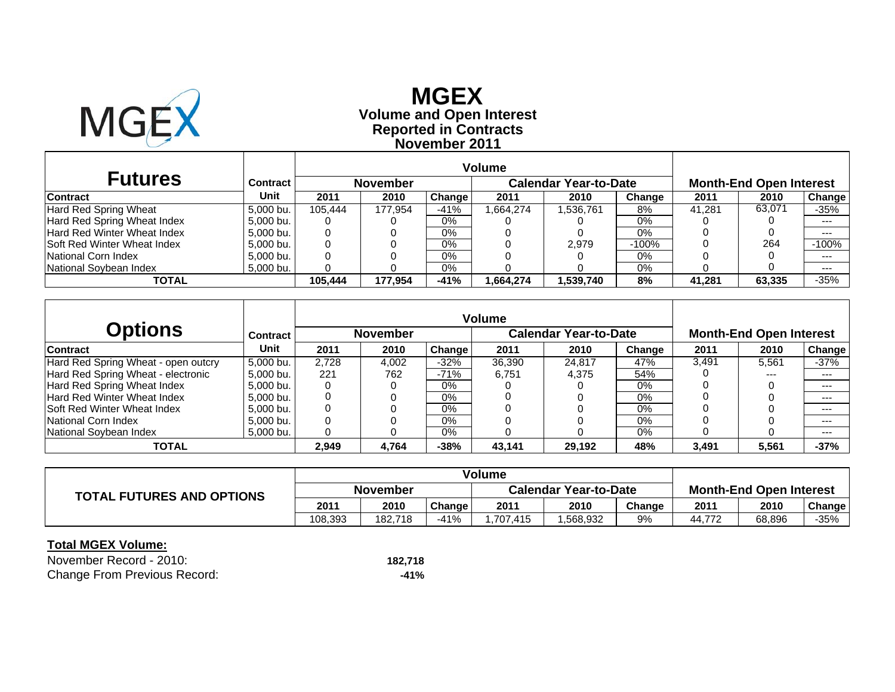

## **Reported in Contracts Volume and Open Interest MGEX November 2011**

| <b>Futures</b>                      | Contract  |         | <b>November</b> |        |           | <b>Calendar Year-to-Date</b> |         |        | <b>Month-End Open Interest</b> |         |
|-------------------------------------|-----------|---------|-----------------|--------|-----------|------------------------------|---------|--------|--------------------------------|---------|
| <b>Contract</b>                     | Unit      | 2011    | 2010            | Change | 2011      | 2010                         | Change  | 2011   | 2010                           | Change  |
| Hard Red Spring Wheat               | 5.000 bu. | 105.444 | 177.954         | $-41%$ | .664.274  | 1,536,761                    | 8%      | 41.281 | 63.071                         | -35%    |
| Hard Red Spring Wheat Index         | 5.000 bu. |         |                 | $0\%$  |           |                              | 0%      |        |                                | $---$   |
| Hard Red Winter Wheat Index         | 5.000 bu. | 0       |                 | $0\%$  |           |                              | 0%      |        |                                | $---$   |
| <b>ISoft Red Winter Wheat Index</b> | 5,000 bu. |         |                 | $0\%$  |           | 2.979                        | $-100%$ |        | 264                            | $-100%$ |
| National Corn Index                 | 5.000 bu. |         |                 | $0\%$  |           |                              | 0%      |        |                                | $---$   |
| National Soybean Index              | 5,000 bu. |         |                 | $0\%$  |           |                              | $0\%$   |        |                                | $---$   |
| TOTAL                               |           | 105.444 | 177.954         | $-41%$ | 864.274.ا | 1,539,740                    | 8%      | 41.281 | 63,335                         | $-35%$  |

|                                     |                 |       |                 |               | <b>Volume</b> |                              |        |       |                                |               |
|-------------------------------------|-----------------|-------|-----------------|---------------|---------------|------------------------------|--------|-------|--------------------------------|---------------|
| <b>Options</b>                      | <b>Contract</b> |       | <b>November</b> |               |               | <b>Calendar Year-to-Date</b> |        |       | <b>Month-End Open Interest</b> |               |
| <b>Contract</b>                     | Unit            | 2011  | 2010            | <b>Change</b> | 2011          | 2010                         | Change | 2011  | 2010                           | <b>Change</b> |
| Hard Red Spring Wheat - open outcry | 5.000 bu.       | 2.728 | 4.002           | $-32%$        | 36.390        | 24.817                       | 47%    | 3.491 | 5,561                          | $-37%$        |
| Hard Red Spring Wheat - electronic  | 5,000 bu.       | 221   | 762             | $-71%$        | 6.751         | 4.375                        | 54%    |       | ---                            | $--$          |
| Hard Red Spring Wheat Index         | 5.000 bu.       |       |                 | $0\%$         |               |                              | $0\%$  |       |                                | $---$         |
| Hard Red Winter Wheat Index         | 5.000 bu.       |       |                 | 0%            |               |                              | $0\%$  |       |                                | $--$          |
| <b>Soft Red Winter Wheat Index</b>  | 5,000 bu.       |       |                 | $0\%$         |               |                              | $0\%$  |       |                                | $--$          |
| National Corn Index                 | 5.000 bu.       |       |                 | $0\%$         |               |                              | $0\%$  |       |                                | $--$          |
| National Sovbean Index              | 5,000 bu.       |       |                 | 0%            |               |                              | 0%     |       |                                | $--$          |
| TOTAL                               |                 | 2,949 | 4,764           | $-38%$        | 43,141        | 29.192                       | 48%    | 3,491 | 5,561                          | $-37%$        |

| <b>TOTAL FUTURES AND OPTIONS</b> | <b>November</b> |         |        | <b>Calendar Year-to-Date</b> |          |        | <b>Month-End Open Interest</b> |        |        |
|----------------------------------|-----------------|---------|--------|------------------------------|----------|--------|--------------------------------|--------|--------|
|                                  | 2011            | 2010    | Change | 2011                         | 2010     | Change | 2011                           | 2010   | Change |
|                                  | 108,393         | 182.718 | $-41%$ | .707.415                     | .568.932 | 9%     | 44.772                         | 68.896 | $-35%$ |

| November Record - 2010:             | 182.718 |
|-------------------------------------|---------|
| <b>Change From Previous Record:</b> | -41%    |